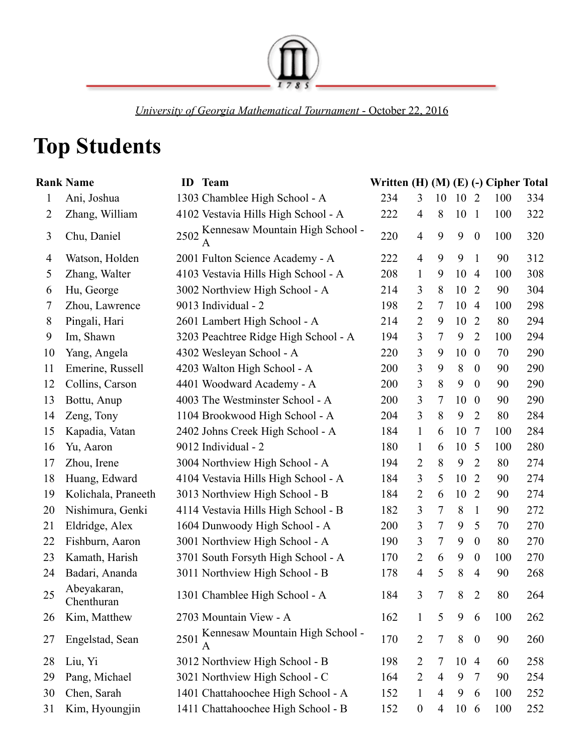

*University of Georgia Mathematical Tournament* October 22, 2016

## **Top Students**

|              | <b>Rank Name</b>          |      | <b>ID</b> Team                            | Written (H) (M) (E) (-) Cipher Total |                  |                |      |                  |     |     |
|--------------|---------------------------|------|-------------------------------------------|--------------------------------------|------------------|----------------|------|------------------|-----|-----|
| $\mathbf{1}$ | Ani, Joshua               |      | 1303 Chamblee High School - A             | 234                                  | 3                | 10             | 10   | $\overline{2}$   | 100 | 334 |
| 2            | Zhang, William            |      | 4102 Vestavia Hills High School - A       | 222                                  | $\overline{4}$   | 8              | 10   | $\mathbf{1}$     | 100 | 322 |
| 3            | Chu, Daniel               |      | 2502 Kennesaw Mountain High School -<br>A | 220                                  | $\overline{4}$   | 9              | 9    | $\boldsymbol{0}$ | 100 | 320 |
| 4            | Watson, Holden            |      | 2001 Fulton Science Academy - A           | 222                                  | $\overline{4}$   | 9              | 9    | $\mathbf{1}$     | 90  | 312 |
| 5            | Zhang, Walter             |      | 4103 Vestavia Hills High School - A       | 208                                  | $\mathbf{1}$     | 9              | 10   | $\overline{4}$   | 100 | 308 |
| 6            | Hu, George                |      | 3002 Northview High School - A            | 214                                  | 3                | 8              | 10   | $\overline{2}$   | 90  | 304 |
| 7            | Zhou, Lawrence            |      | 9013 Individual - 2                       | 198                                  | $\overline{2}$   | 7              | 10   | $\overline{4}$   | 100 | 298 |
| 8            | Pingali, Hari             |      | 2601 Lambert High School - A              | 214                                  | $\overline{2}$   | 9              | 10   | 2                | 80  | 294 |
| 9            | Im, Shawn                 |      | 3203 Peachtree Ridge High School - A      | 194                                  | 3                | 7              | 9    | $\overline{2}$   | 100 | 294 |
| 10           | Yang, Angela              |      | 4302 Wesleyan School - A                  | 220                                  | 3                | 9              | 10   | $\overline{0}$   | 70  | 290 |
| 11           | Emerine, Russell          |      | 4203 Walton High School - A               | 200                                  | 3                | 9              | 8    | $\boldsymbol{0}$ | 90  | 290 |
| 12           | Collins, Carson           |      | 4401 Woodward Academy - A                 | 200                                  | 3                | 8              | 9    | $\boldsymbol{0}$ | 90  | 290 |
| 13           | Bottu, Anup               |      | 4003 The Westminster School - A           | 200                                  | 3                | 7              | 10   | $\overline{0}$   | 90  | 290 |
| 14           | Zeng, Tony                |      | 1104 Brookwood High School - A            | 204                                  | 3                | 8              | 9    | $\overline{2}$   | 80  | 284 |
| 15           | Kapadia, Vatan            |      | 2402 Johns Creek High School - A          | 184                                  | $\mathbf{1}$     | 6              | 10   | 7                | 100 | 284 |
| 16           | Yu, Aaron                 |      | 9012 Individual - 2                       | 180                                  | $\mathbf{1}$     | 6              | 10   | 5                | 100 | 280 |
| 17           | Zhou, Irene               |      | 3004 Northview High School - A            | 194                                  | 2                | 8              | 9    | $\overline{2}$   | 80  | 274 |
| 18           | Huang, Edward             |      | 4104 Vestavia Hills High School - A       | 184                                  | 3                | 5              | 10   | $\overline{2}$   | 90  | 274 |
| 19           | Kolichala, Praneeth       |      | 3013 Northview High School - B            | 184                                  | 2                | 6              | 10   | $\overline{2}$   | 90  | 274 |
| 20           | Nishimura, Genki          |      | 4114 Vestavia Hills High School - B       | 182                                  | 3                | 7              | 8    | $\mathbf{1}$     | 90  | 272 |
| 21           | Eldridge, Alex            |      | 1604 Dunwoody High School - A             | 200                                  | 3                | 7              | 9    | 5                | 70  | 270 |
| 22           | Fishburn, Aaron           |      | 3001 Northview High School - A            | 190                                  | 3                | 7              | 9    | $\boldsymbol{0}$ | 80  | 270 |
| 23           | Kamath, Harish            |      | 3701 South Forsyth High School - A        | 170                                  | 2                | 6              | 9    | $\overline{0}$   | 100 | 270 |
| 24           | Badari, Ananda            |      | 3011 Northview High School - B            | 178                                  | $\overline{4}$   | 5              | 8    | $\overline{4}$   | 90  | 268 |
| 25           | Abeyakaran,<br>Chenthuran |      | 1301 Chamblee High School - A             | 184                                  | 3                | 7              | 8    | $\overline{2}$   | 80  | 264 |
| 26           | Kim, Matthew              |      | 2703 Mountain View - A                    | 162                                  | $\mathbf{1}$     | 5              | 9    | 6                | 100 | 262 |
| 27           | Engelstad, Sean           | 2501 | Kennesaw Mountain High School -           | 170                                  | $\overline{2}$   | $\overline{7}$ | 8    | $\boldsymbol{0}$ | 90  | 260 |
| 28           | Liu, Yi                   |      | 3012 Northview High School - B            | 198                                  | $\overline{2}$   | 7              | 10   | $\overline{4}$   | 60  | 258 |
| 29           | Pang, Michael             |      | 3021 Northview High School - C            | 164                                  | $\overline{2}$   | $\overline{4}$ | 9    | 7                | 90  | 254 |
| 30           | Chen, Sarah               |      | 1401 Chattahoochee High School - A        | 152                                  | $\mathbf{1}$     | 4              | 9    | 6                | 100 | 252 |
| 31           | Kim, Hyoungjin            |      | 1411 Chattahoochee High School - B        | 152                                  | $\boldsymbol{0}$ | 4              | 10 6 |                  | 100 | 252 |
|              |                           |      |                                           |                                      |                  |                |      |                  |     |     |